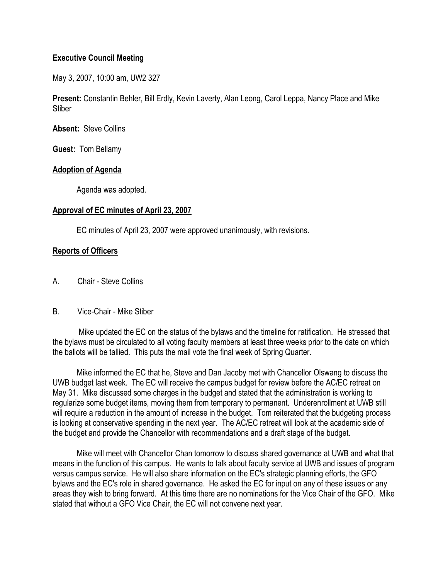## **Executive Council Meeting**

May 3, 2007, 10:00 am, UW2 327

**Present:** Constantin Behler, Bill Erdly, Kevin Laverty, Alan Leong, Carol Leppa, Nancy Place and Mike **Stiber** 

**Absent:** Steve Collins

**Guest:** Tom Bellamy

### **Adoption of Agenda**

Agenda was adopted.

### **Approval of EC minutes of April 23, 2007**

EC minutes of April 23, 2007 were approved unanimously, with revisions.

## **Reports of Officers**

A. Chair - Steve Collins

#### B. Vice-Chair - Mike Stiber

 Mike updated the EC on the status of the bylaws and the timeline for ratification. He stressed that the bylaws must be circulated to all voting faculty members at least three weeks prior to the date on which the ballots will be tallied. This puts the mail vote the final week of Spring Quarter.

 Mike informed the EC that he, Steve and Dan Jacoby met with Chancellor Olswang to discuss the UWB budget last week. The EC will receive the campus budget for review before the AC/EC retreat on May 31. Mike discussed some charges in the budget and stated that the administration is working to regularize some budget items, moving them from temporary to permanent. Underenrollment at UWB still will require a reduction in the amount of increase in the budget. Tom reiterated that the budgeting process is looking at conservative spending in the next year. The AC/EC retreat will look at the academic side of the budget and provide the Chancellor with recommendations and a draft stage of the budget.

 Mike will meet with Chancellor Chan tomorrow to discuss shared governance at UWB and what that means in the function of this campus. He wants to talk about faculty service at UWB and issues of program versus campus service. He will also share information on the EC's strategic planning efforts, the GFO bylaws and the EC's role in shared governance. He asked the EC for input on any of these issues or any areas they wish to bring forward. At this time there are no nominations for the Vice Chair of the GFO. Mike stated that without a GFO Vice Chair, the EC will not convene next year.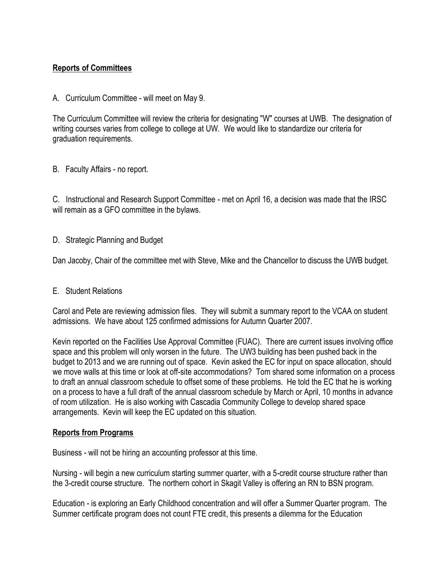# **Reports of Committees**

A. Curriculum Committee - will meet on May 9.

The Curriculum Committee will review the criteria for designating "W" courses at UWB. The designation of writing courses varies from college to college at UW. We would like to standardize our criteria for graduation requirements.

B. Faculty Affairs - no report.

C. Instructional and Research Support Committee - met on April 16, a decision was made that the IRSC will remain as a GFO committee in the bylaws.

D. Strategic Planning and Budget

Dan Jacoby, Chair of the committee met with Steve, Mike and the Chancellor to discuss the UWB budget.

#### E. Student Relations

Carol and Pete are reviewing admission files. They will submit a summary report to the VCAA on student admissions. We have about 125 confirmed admissions for Autumn Quarter 2007.

Kevin reported on the Facilities Use Approval Committee (FUAC). There are current issues involving office space and this problem will only worsen in the future. The UW3 building has been pushed back in the budget to 2013 and we are running out of space. Kevin asked the EC for input on space allocation, should we move walls at this time or look at off-site accommodations? Tom shared some information on a process to draft an annual classroom schedule to offset some of these problems. He told the EC that he is working on a process to have a full draft of the annual classroom schedule by March or April, 10 months in advance of room utilization. He is also working with Cascadia Community College to develop shared space arrangements. Kevin will keep the EC updated on this situation.

#### **Reports from Programs**

Business - will not be hiring an accounting professor at this time.

Nursing - will begin a new curriculum starting summer quarter, with a 5-credit course structure rather than the 3-credit course structure. The northern cohort in Skagit Valley is offering an RN to BSN program.

Education - is exploring an Early Childhood concentration and will offer a Summer Quarter program. The Summer certificate program does not count FTE credit, this presents a dilemma for the Education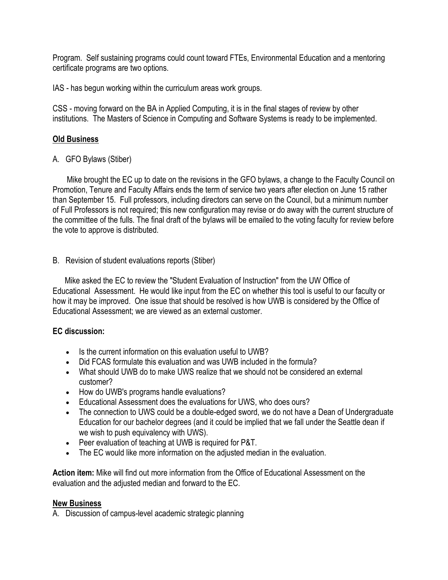Program. Self sustaining programs could count toward FTEs, Environmental Education and a mentoring certificate programs are two options.

IAS - has begun working within the curriculum areas work groups.

CSS - moving forward on the BA in Applied Computing, it is in the final stages of review by other institutions. The Masters of Science in Computing and Software Systems is ready to be implemented.

## **Old Business**

A. GFO Bylaws (Stiber)

 Mike brought the EC up to date on the revisions in the GFO bylaws, a change to the Faculty Council on Promotion, Tenure and Faculty Affairs ends the term of service two years after election on June 15 rather than September 15. Full professors, including directors can serve on the Council, but a minimum number of Full Professors is not required; this new configuration may revise or do away with the current structure of the committee of the fulls. The final draft of the bylaws will be emailed to the voting faculty for review before the vote to approve is distributed.

B. Revision of student evaluations reports (Stiber)

 Mike asked the EC to review the "Student Evaluation of Instruction" from the UW Office of Educational Assessment. He would like input from the EC on whether this tool is useful to our faculty or how it may be improved. One issue that should be resolved is how UWB is considered by the Office of Educational Assessment; we are viewed as an external customer.

## **EC discussion:**

- Is the current information on this evaluation useful to UWB?
- Did FCAS formulate this evaluation and was UWB included in the formula?
- What should UWB do to make UWS realize that we should not be considered an external customer?
- How do UWB's programs handle evaluations?
- Educational Assessment does the evaluations for UWS, who does ours?
- The connection to UWS could be a double-edged sword, we do not have a Dean of Undergraduate Education for our bachelor degrees (and it could be implied that we fall under the Seattle dean if we wish to push equivalency with UWS).
- Peer evaluation of teaching at UWB is required for P&T.
- The EC would like more information on the adjusted median in the evaluation.

**Action item:** Mike will find out more information from the Office of Educational Assessment on the evaluation and the adjusted median and forward to the EC.

#### **New Business**

A. Discussion of campus-level academic strategic planning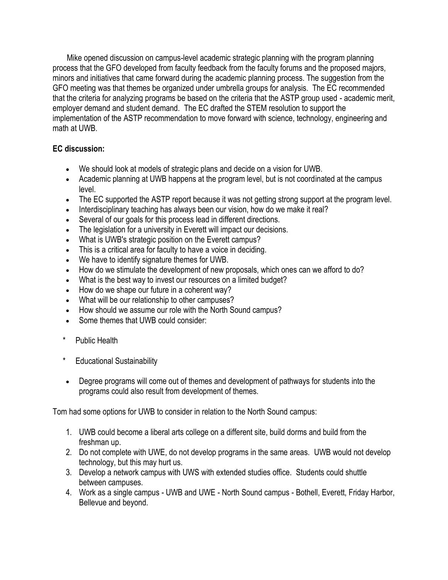Mike opened discussion on campus-level academic strategic planning with the program planning process that the GFO developed from faculty feedback from the faculty forums and the proposed majors, minors and initiatives that came forward during the academic planning process. The suggestion from the GFO meeting was that themes be organized under umbrella groups for analysis. The EC recommended that the criteria for analyzing programs be based on the criteria that the ASTP group used - academic merit, employer demand and student demand. The EC drafted the STEM resolution to support the implementation of the ASTP recommendation to move forward with science, technology, engineering and math at UWB.

# **EC discussion:**

- We should look at models of strategic plans and decide on a vision for UWB.
- Academic planning at UWB happens at the program level, but is not coordinated at the campus level.
- The EC supported the ASTP report because it was not getting strong support at the program level.
- Interdisciplinary teaching has always been our vision, how do we make it real?
- Several of our goals for this process lead in different directions.
- The legislation for a university in Everett will impact our decisions.
- What is UWB's strategic position on the Everett campus?
- This is a critical area for faculty to have a voice in deciding.
- We have to identify signature themes for UWB.
- How do we stimulate the development of new proposals, which ones can we afford to do?
- What is the best way to invest our resources on a limited budget?
- How do we shape our future in a coherent way?
- What will be our relationship to other campuses?
- How should we assume our role with the North Sound campus?
- Some themes that UWB could consider:
- \* Public Health
- \* Educational Sustainability
- Degree programs will come out of themes and development of pathways for students into the programs could also result from development of themes.

Tom had some options for UWB to consider in relation to the North Sound campus:

- 1. UWB could become a liberal arts college on a different site, build dorms and build from the freshman up.
- 2. Do not complete with UWE, do not develop programs in the same areas. UWB would not develop technology, but this may hurt us.
- 3. Develop a network campus with UWS with extended studies office. Students could shuttle between campuses.
- 4. Work as a single campus UWB and UWE North Sound campus Bothell, Everett, Friday Harbor, Bellevue and beyond.